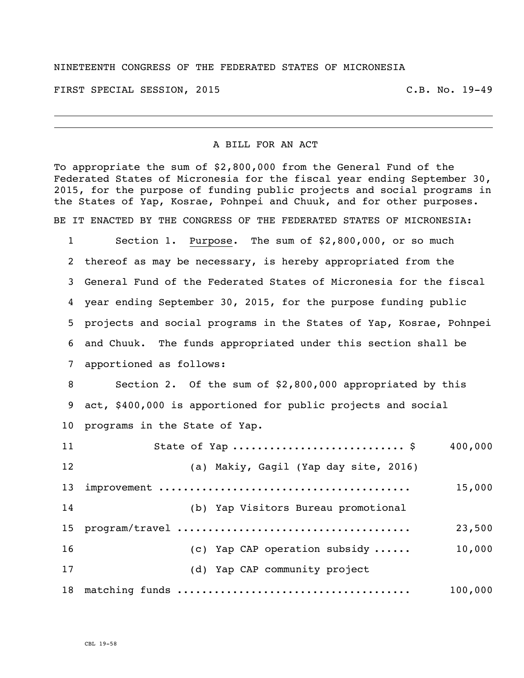## NINETEENTH CONGRESS OF THE FEDERATED STATES OF MICRONESIA

FIRST SPECIAL SESSION, 2015 C.B. No. 19-49

## A BILL FOR AN ACT

To appropriate the sum of \$2,800,000 from the General Fund of the Federated States of Micronesia for the fiscal year ending September 30, 2015, for the purpose of funding public projects and social programs in the States of Yap, Kosrae, Pohnpei and Chuuk, and for other purposes. BE IT ENACTED BY THE CONGRESS OF THE FEDERATED STATES OF MICRONESIA:

 Section 1. Purpose. The sum of \$2,800,000, or so much thereof as may be necessary, is hereby appropriated from the General Fund of the Federated States of Micronesia for the fiscal year ending September 30, 2015, for the purpose funding public projects and social programs in the States of Yap, Kosrae, Pohnpei and Chuuk. The funds appropriated under this section shall be apportioned as follows:

 Section 2. Of the sum of \$2,800,000 appropriated by this act, \$400,000 is apportioned for public projects and social programs in the State of Yap.

| 11              |  |                                       | 400,000 |
|-----------------|--|---------------------------------------|---------|
| 12              |  | (a) Makiy, Gagil (Yap day site, 2016) |         |
| 13              |  |                                       | 15,000  |
| 14              |  | (b) Yap Visitors Bureau promotional   |         |
| 15 <sub>1</sub> |  |                                       | 23,500  |
| 16              |  | (c) Yap CAP operation subsidy         | 10,000  |
| 17              |  | (d) Yap CAP community project         |         |
|                 |  |                                       | 100,000 |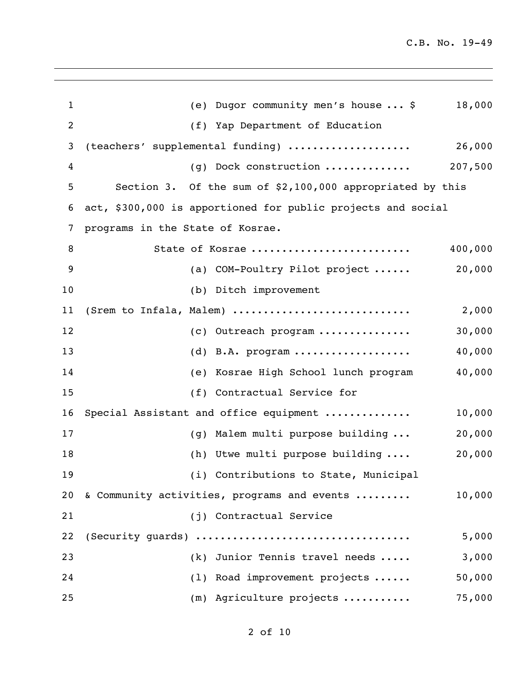| $\mathbf 1$    | (e) Dugor community men's house  \$                          | 18,000  |
|----------------|--------------------------------------------------------------|---------|
| $\overline{2}$ | (f) Yap Department of Education                              |         |
| 3              | (teachers' supplemental funding)                             | 26,000  |
| 4              | $(g)$ Dock construction                                      | 207,500 |
| 5              | Section 3. Of the sum of \$2,100,000 appropriated by this    |         |
| 6              | act, \$300,000 is apportioned for public projects and social |         |
| 7              | programs in the State of Kosrae.                             |         |
| 8              | State of Kosrae                                              | 400,000 |
| 9              | (a) COM-Poultry Pilot project                                | 20,000  |
| 10             | (b) Ditch improvement                                        |         |
| 11             | (Srem to Infala, Malem)                                      | 2,000   |
| 12             | (c) Outreach program                                         | 30,000  |
| 13             | (d) B.A. program                                             | 40,000  |
| 14             | (e) Kosrae High School lunch program                         | 40,000  |
| 15             | (f) Contractual Service for                                  |         |
| 16             | Special Assistant and office equipment                       | 10,000  |
| 17             | (g) Malem multi purpose building                             | 20,000  |
| 18             | (h) Utwe multi purpose building                              | 20,000  |
| 19             | (i) Contributions to State, Municipal                        |         |
| 20             | & Community activities, programs and events                  | 10,000  |
| 21             | (j) Contractual Service                                      |         |
| 22             | (Security quards)                                            | 5,000   |
| 23             | (k) Junior Tennis travel needs                               | 3,000   |
| 24             | (1) Road improvement projects                                | 50,000  |
| 25             | (m) Agriculture projects                                     | 75,000  |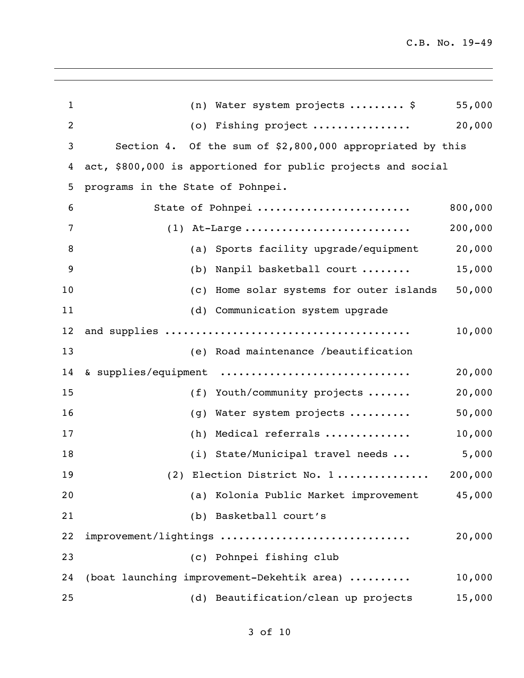| $\mathbf{1}$   | (n) Water system projects  \$<br>55,000                      |  |
|----------------|--------------------------------------------------------------|--|
| $\overline{c}$ | 20,000<br>(o) Fishing project                                |  |
| 3              | Section 4. Of the sum of \$2,800,000 appropriated by this    |  |
| 4              | act, \$800,000 is apportioned for public projects and social |  |
| 5              | programs in the State of Pohnpei.                            |  |
| 6              | 800,000<br>State of Pohnpei                                  |  |
| 7              | $(1)$ At-Large<br>200,000                                    |  |
| 8              | 20,000<br>(a) Sports facility upgrade/equipment              |  |
| 9              | 15,000<br>Nanpil basketball court<br>(b)                     |  |
| 10             | 50,000<br>Home solar systems for outer islands<br>(C)        |  |
| 11             | (d) Communication system upgrade                             |  |
| 12             | 10,000                                                       |  |
| 13             | (e) Road maintenance /beautification                         |  |
| 14             | & supplies/equipment<br>20,000                               |  |
| 15             | 20,000<br>(f) Youth/community projects                       |  |
| 16             | 50,000<br>Water system projects<br>(g)                       |  |
| 17             | 10,000<br>Medical referrals<br>(h)                           |  |
| 18             | 5,000<br>(i) State/Municipal travel needs                    |  |
| 19             | 200,000<br>(2) Election District No. 1                       |  |
| 20             | (a) Kolonia Public Market improvement<br>45,000              |  |
| 21             | (b) Basketball court's                                       |  |
| 22             | 20,000<br>improvement/lightings                              |  |
| 23             | (c) Pohnpei fishing club                                     |  |
| 24             | (boat launching improvement-Dekehtik area)<br>10,000         |  |
| 25             | (d) Beautification/clean up projects<br>15,000               |  |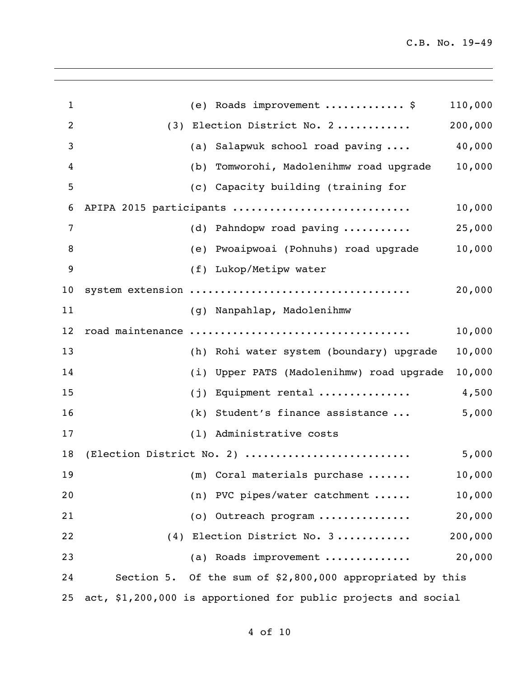| 1              |     | (e) Roads improvement  \$                                      | 110,000 |
|----------------|-----|----------------------------------------------------------------|---------|
| 2              |     | (3) Election District No. 2                                    | 200,000 |
| 3              |     | (a) Salapwuk school road paving                                | 40,000  |
| 4              |     | (b) Tomworohi, Madolenihmw road upgrade                        | 10,000  |
| 5              |     | (c) Capacity building (training for                            |         |
| 6              |     | APIPA 2015 participants                                        | 10,000  |
| $\overline{7}$ |     | (d) Pahndopw road paving                                       | 25,000  |
| 8              |     | (e) Pwoaipwoai (Pohnuhs) road upgrade                          | 10,000  |
| 9              |     | (f) Lukop/Metipw water                                         |         |
| 10             |     | system extension                                               | 20,000  |
| 11             |     | (g) Nanpahlap, Madolenihmw                                     |         |
| 12             |     | road maintenance                                               | 10,000  |
| 13             |     | (h) Rohi water system (boundary) upgrade                       | 10,000  |
| 14             |     | (i) Upper PATS (Madolenihmw) road upgrade                      | 10,000  |
| 15             | (j) | Equipment rental                                               | 4,500   |
| 16             |     | (k) Student's finance assistance                               | 5,000   |
| 17             |     | (1) Administrative costs                                       |         |
| 18             |     | (Election District No. 2)                                      | 5,000   |
| 19             |     | $(m)$ Coral materials purchase                                 | 10,000  |
| 20             |     | (n) PVC pipes/water catchment                                  | 10,000  |
| 21             |     | (o) Outreach program                                           | 20,000  |
| 22             |     | (4) Election District No. 3                                    | 200,000 |
| 23             |     | (a) Roads improvement                                          | 20,000  |
| 24             |     | Section 5. Of the sum of \$2,800,000 appropriated by this      |         |
| 25             |     | act, \$1,200,000 is apportioned for public projects and social |         |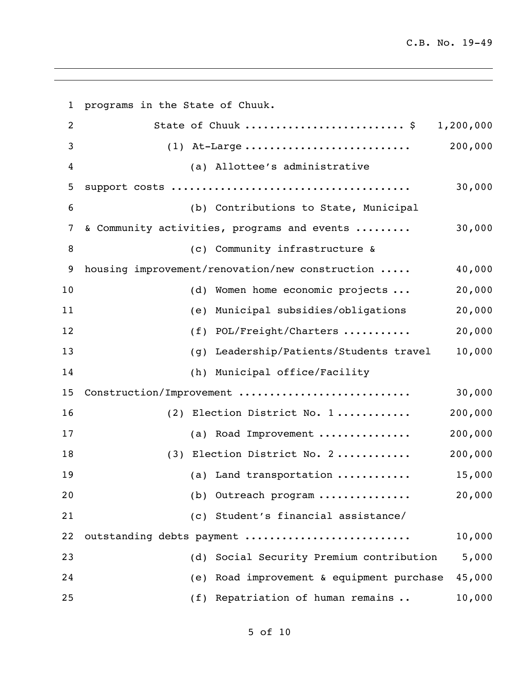| 1              | programs in the State of Chuuk.                 |           |
|----------------|-------------------------------------------------|-----------|
| $\overline{c}$ | State of Chuuk  \$                              | 1,200,000 |
| 3              | $(1)$ At-Large                                  | 200,000   |
| 4              | (a) Allottee's administrative                   |           |
| 5              |                                                 | 30,000    |
| 6              | (b) Contributions to State, Municipal           |           |
| 7              | & Community activities, programs and events     | 30,000    |
| 8              | (c) Community infrastructure &                  |           |
| 9              | housing improvement/renovation/new construction | 40,000    |
| 10             | (d) Women home economic projects                | 20,000    |
| 11             | Municipal subsidies/obligations<br>(e)          | 20,000    |
| 12             | POL/Freight/Charters<br>(f)                     | 20,000    |
| 13             | Leadership/Patients/Students travel<br>(q)      | 10,000    |
| 14             | (h) Municipal office/Facility                   |           |
| 15             | Construction/Improvement                        | 30,000    |
| 16             | (2) Election District No. 1                     | 200,000   |
| 17             | (a) Road Improvement                            | 200,000   |
| 18             | (3) Election District No. 2                     | 200,000   |
| 19             | (a) Land transportation                         | 15,000    |
| 20             | (b) Outreach program                            | 20,000    |
| 21             | (c) Student's financial assistance/             |           |
| 22             | outstanding debts payment                       | 10,000    |
| 23             | (d) Social Security Premium contribution        | 5,000     |
| 24             | Road improvement & equipment purchase<br>(e)    | 45,000    |
| 25             | Repatriation of human remains<br>(f)            | 10,000    |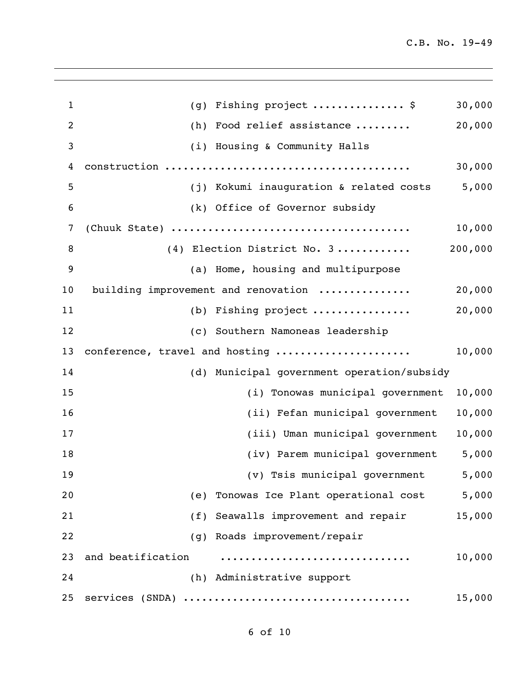| $\mathbf{1}$   | Fishing project  \$<br>(q)                 | 30,000  |
|----------------|--------------------------------------------|---------|
| $\overline{2}$ | Food relief assistance<br>(h)              | 20,000  |
| 3              | (i) Housing & Community Halls              |         |
| 4              |                                            | 30,000  |
| 5              | (j) Kokumi inauguration & related costs    | 5,000   |
| 6              | (k) Office of Governor subsidy             |         |
| 7              |                                            | 10,000  |
| 8              | (4) Election District No. 3                | 200,000 |
| 9              | (a) Home, housing and multipurpose         |         |
| 10             | building improvement and renovation        | 20,000  |
| 11             | (b) Fishing project                        | 20,000  |
| 12             | (c) Southern Namoneas leadership           |         |
| 13             | conference, travel and hosting             | 10,000  |
| 14             | (d) Municipal government operation/subsidy |         |
| 15             | (i) Tonowas municipal government           | 10,000  |
| 16             | (ii) Fefan municipal government            | 10,000  |
| 17             | (iii) Uman municipal government            | 10,000  |
| 18             | (iv) Parem municipal government            | 5,000   |
| 19             | (v) Tsis municipal government              | 5,000   |
| 20             | (e) Tonowas Ice Plant operational cost     | 5,000   |
| 21             | (f) Seawalls improvement and repair        | 15,000  |
| 22             | (g) Roads improvement/repair               |         |
| 23             | and beatification                          | 10,000  |
| 24             | (h) Administrative support                 |         |
| 25             |                                            | 15,000  |

of 10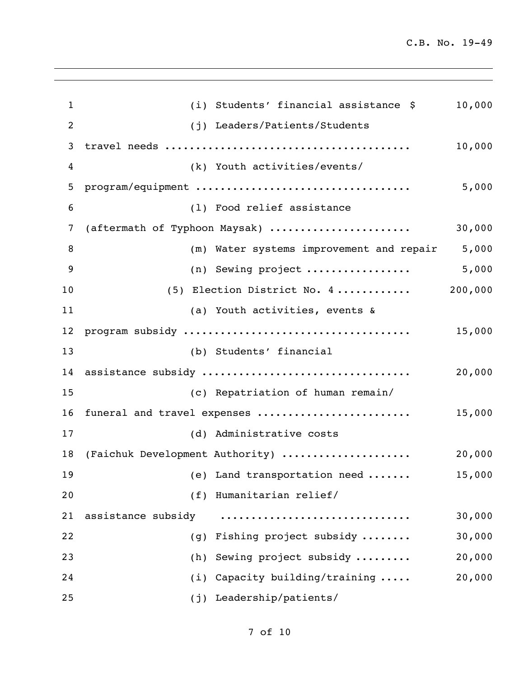| $\mathbf{1}$    | (i) Students' financial assistance \$    | 10,000  |
|-----------------|------------------------------------------|---------|
| $\overline{2}$  | (j) Leaders/Patients/Students            |         |
| 3               |                                          | 10,000  |
| 4               | (k) Youth activities/events/             |         |
| 5               | program/equipment                        | 5,000   |
| $6\phantom{1}6$ | (1) Food relief assistance               |         |
| 7               | (aftermath of Typhoon Maysak)            | 30,000  |
| 8               | (m) Water systems improvement and repair | 5,000   |
| 9               | (n) Sewing project                       | 5,000   |
| 10              | (5) Election District No. 4              | 200,000 |
| 11              | (a) Youth activities, events &           |         |
| 12              |                                          | 15,000  |
| 13              | (b) Students' financial                  |         |
| 14              | assistance subsidy                       | 20,000  |
| 15              | (c) Repatriation of human remain/        |         |
| 16              | funeral and travel expenses              | 15,000  |
| 17              | (d) Administrative costs                 |         |
| 18              | (Faichuk Development Authority)          | 20,000  |
| 19              | (e) Land transportation need             | 15,000  |
| 20              | Humanitarian relief/<br>(f)              |         |
| 21              | assistance subsidy                       | 30,000  |
| 22              | Fishing project subsidy<br>(g)           | 30,000  |
| 23              | Sewing project subsidy<br>(h)            | 20,000  |
| 24              | Capacity building/training<br>(i)        | 20,000  |
| 25              | Leadership/patients/<br>(j)              |         |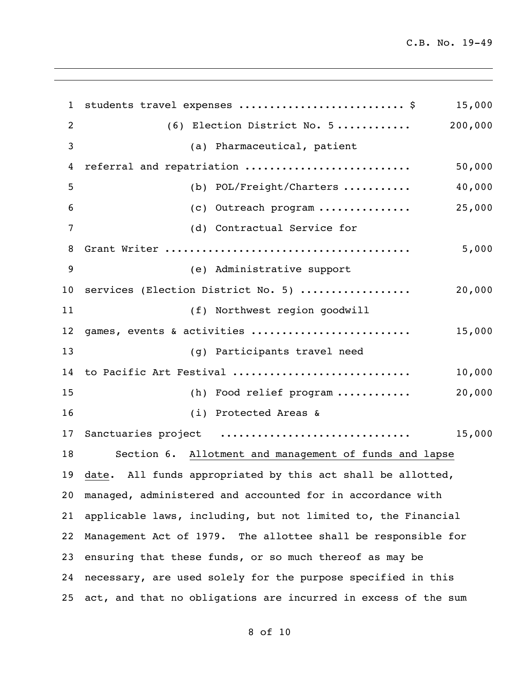| $\mathbf{1}$      | students travel expenses  \$                                      | 15,000  |
|-------------------|-------------------------------------------------------------------|---------|
| 2                 | (6) Election District No. 5                                       | 200,000 |
| 3                 | (a) Pharmaceutical, patient                                       |         |
| 4                 | referral and repatriation                                         | 50,000  |
| 5                 | (b) $POL/Freight/Charters$                                        | 40,000  |
| 6                 | (c) Outreach program                                              | 25,000  |
| 7                 | (d) Contractual Service for                                       |         |
| 8                 |                                                                   | 5,000   |
| 9                 | (e) Administrative support                                        |         |
| 10                | services (Election District No. 5)                                | 20,000  |
| 11                | (f) Northwest region goodwill                                     |         |
| $12 \overline{ }$ | games, events & activities                                        | 15,000  |
| 13                | (g) Participants travel need                                      |         |
| 14                | to Pacific Art Festival                                           | 10,000  |
| 15                | (h) Food relief program                                           | 20,000  |
| 16                | (i) Protected Areas &                                             |         |
| 17                | Sanctuaries project                                               | 15,000  |
| 18                | Section 6. Allotment and management of funds and lapse            |         |
|                   | 19 date. All funds appropriated by this act shall be allotted,    |         |
| 20                | managed, administered and accounted for in accordance with        |         |
| 21                | applicable laws, including, but not limited to, the Financial     |         |
| 22                | Management Act of 1979. The allottee shall be responsible for     |         |
| 23                | ensuring that these funds, or so much thereof as may be           |         |
| 24                | necessary, are used solely for the purpose specified in this      |         |
|                   | 25 act, and that no obligations are incurred in excess of the sum |         |

of 10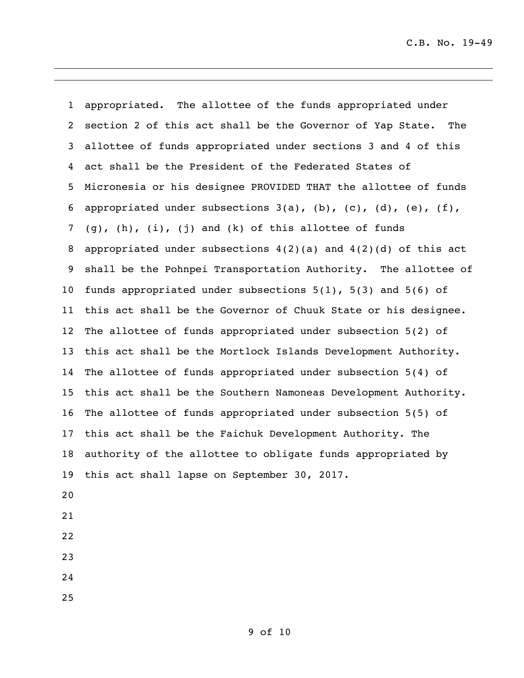appropriated. The allottee of the funds appropriated under section 2 of this act shall be the Governor of Yap State. The allottee of funds appropriated under sections 3 and 4 of this act shall be the President of the Federated States of Micronesia or his designee PROVIDED THAT the allottee of funds 6 appropriated under subsections  $3(a)$ ,  $(b)$ ,  $(c)$ ,  $(d)$ ,  $(e)$ ,  $(f)$ , (q), (h), (i), (j) and (k) of this allottee of funds appropriated under subsections 4(2)(a) and 4(2)(d) of this act shall be the Pohnpei Transportation Authority. The allottee of funds appropriated under subsections 5(1), 5(3) and 5(6) of this act shall be the Governor of Chuuk State or his designee. The allottee of funds appropriated under subsection 5(2) of this act shall be the Mortlock Islands Development Authority. The allottee of funds appropriated under subsection 5(4) of this act shall be the Southern Namoneas Development Authority. The allottee of funds appropriated under subsection 5(5) of this act shall be the Faichuk Development Authority. The authority of the allottee to obligate funds appropriated by this act shall lapse on September 30, 2017.